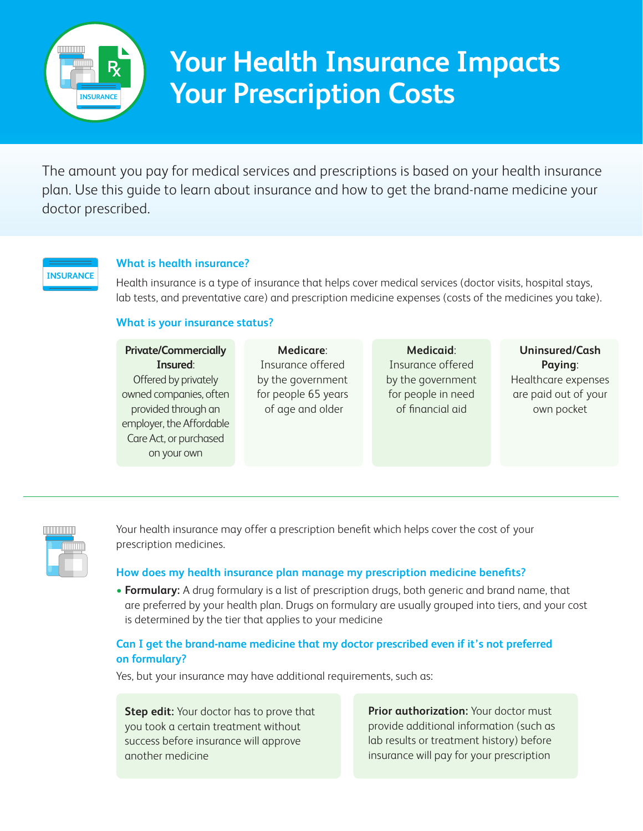

# **Your Health Insurance Impacts Your Prescription Costs**

The amount you pay for medical services and prescriptions is based on your health insurance plan. Use this guide to learn about insurance and how to get the brand-name medicine your doctor prescribed.

### **INSURANCE**

#### **What is health insurance?**

Health insurance is a type of insurance that helps cover medical services (doctor visits, hospital stays, lab tests, and preventative care) and prescription medicine expenses (costs of the medicines you take).

### **What is your insurance status?**

| <b>Private/Commercially</b> | <b>Medicare:</b>    | <b>Medicaid:</b>   | Uninsured/Cash       |
|-----------------------------|---------------------|--------------------|----------------------|
| Insured:                    | Insurance offered   | Insurance offered  | Paying:              |
| Offered by privately        | by the government   | by the government  | Healthcare expenses  |
| owned companies, often      | for people 65 years | for people in need | are paid out of your |
| provided through an         | of age and older    | of financial aid   | own pocket           |
| employer, the Affordable    |                     |                    |                      |
| Care Act, or purchased      |                     |                    |                      |
| on your own                 |                     |                    |                      |
|                             |                     |                    |                      |



Your health insurance may offer a prescription benefit which helps cover the cost of your prescription medicines.

### **How does my health insurance plan manage my prescription medicine benefits?**

• **Formulary:** A drug formulary is a list of prescription drugs, both generic and brand name, that are preferred by your health plan. Drugs on formulary are usually grouped into tiers, and your cost is determined by the tier that applies to your medicine

### **Can I get the brand-name medicine that my doctor prescribed even if it's not preferred on formulary?**

Yes, but your insurance may have additional requirements, such as:

**Step edit:** Your doctor has to prove that you took a certain treatment without success before insurance will approve another medicine

**Prior authorization:** Your doctor must provide additional information (such as lab results or treatment history) before insurance will pay for your prescription